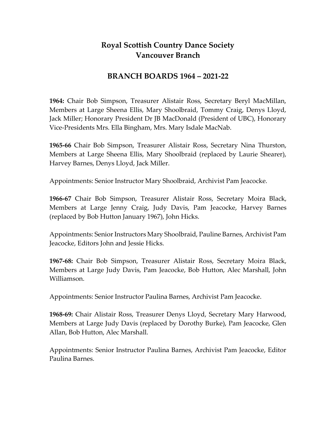## **Royal Scottish Country Dance Society Vancouver Branch**

## **BRANCH BOARDS 1964 – 2021-22**

**1964:** Chair Bob Simpson, Treasurer Alistair Ross, Secretary Beryl MacMillan, Members at Large Sheena Ellis, Mary Shoolbraid, Tommy Craig, Denys Lloyd, Jack Miller; Honorary President Dr JB MacDonald (President of UBC), Honorary Vice-Presidents Mrs. Ella Bingham, Mrs. Mary Isdale MacNab.

**1965-66** Chair Bob Simpson, Treasurer Alistair Ross, Secretary Nina Thurston, Members at Large Sheena Ellis, Mary Shoolbraid (replaced by Laurie Shearer), Harvey Barnes, Denys Lloyd, Jack Miller.

Appointments: Senior Instructor Mary Shoolbraid, Archivist Pam Jeacocke.

**1966-67** Chair Bob Simpson, Treasurer Alistair Ross, Secretary Moira Black, Members at Large Jenny Craig, Judy Davis, Pam Jeacocke, Harvey Barnes (replaced by Bob Hutton January 1967), John Hicks.

Appointments: Senior Instructors Mary Shoolbraid, Pauline Barnes, Archivist Pam Jeacocke, Editors John and Jessie Hicks.

**1967-68:** Chair Bob Simpson, Treasurer Alistair Ross, Secretary Moira Black, Members at Large Judy Davis, Pam Jeacocke, Bob Hutton, Alec Marshall, John Williamson.

Appointments: Senior Instructor Paulina Barnes, Archivist Pam Jeacocke.

**1968-69:** Chair Alistair Ross, Treasurer Denys Lloyd, Secretary Mary Harwood, Members at Large Judy Davis (replaced by Dorothy Burke), Pam Jeacocke, Glen Allan, Bob Hutton, Alec Marshall.

Appointments: Senior Instructor Paulina Barnes, Archivist Pam Jeacocke, Editor Paulina Barnes.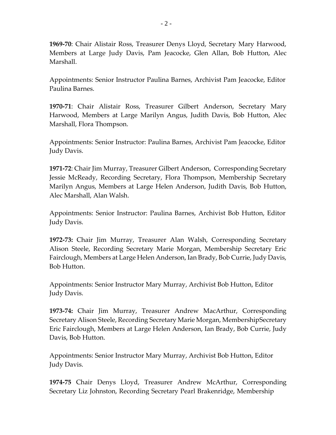**1969-70**: Chair Alistair Ross, Treasurer Denys Lloyd, Secretary Mary Harwood, Members at Large Judy Davis, Pam Jeacocke, Glen Allan, Bob Hutton, Alec Marshall.

Appointments: Senior Instructor Paulina Barnes, Archivist Pam Jeacocke, Editor Paulina Barnes.

**1970-71**: Chair Alistair Ross, Treasurer Gilbert Anderson, Secretary Mary Harwood, Members at Large Marilyn Angus, Judith Davis, Bob Hutton, Alec Marshall, Flora Thompson.

Appointments: Senior Instructor: Paulina Barnes, Archivist Pam Jeacocke, Editor Judy Davis.

**1971-72**: Chair Jim Murray, Treasurer Gilbert Anderson, Corresponding Secretary Jessie McReady, Recording Secretary, Flora Thompson, Membership Secretary Marilyn Angus, Members at Large Helen Anderson, Judith Davis, Bob Hutton, Alec Marshall, Alan Walsh.

Appointments: Senior Instructor: Paulina Barnes, Archivist Bob Hutton, Editor Judy Davis.

**1972-73:** Chair Jim Murray, Treasurer Alan Walsh, Corresponding Secretary Alison Steele, Recording Secretary Marie Morgan, Membership Secretary Eric Fairclough, Members at Large Helen Anderson, Ian Brady, Bob Currie, Judy Davis, Bob Hutton.

Appointments: Senior Instructor Mary Murray, Archivist Bob Hutton, Editor Judy Davis.

**1973-74:** Chair Jim Murray, Treasurer Andrew MacArthur, Corresponding Secretary Alison Steele, Recording Secretary Marie Morgan, MembershipSecretary Eric Fairclough, Members at Large Helen Anderson, Ian Brady, Bob Currie, Judy Davis, Bob Hutton.

Appointments: Senior Instructor Mary Murray, Archivist Bob Hutton, Editor Judy Davis.

**1974-75** Chair Denys Lloyd, Treasurer Andrew McArthur, Corresponding Secretary Liz Johnston, Recording Secretary Pearl Brakenridge, Membership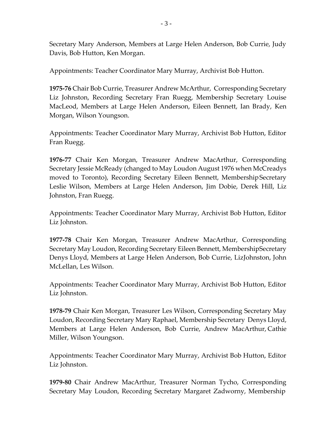Secretary Mary Anderson, Members at Large Helen Anderson, Bob Currie, Judy Davis, Bob Hutton, Ken Morgan.

Appointments: Teacher Coordinator Mary Murray, Archivist Bob Hutton.

**1975-76** Chair Bob Currie, Treasurer Andrew McArthur, Corresponding Secretary Liz Johnston, Recording Secretary Fran Ruegg, Membership Secretary Louise MacLeod, Members at Large Helen Anderson, Eileen Bennett, Ian Brady, Ken Morgan, Wilson Youngson.

Appointments: Teacher Coordinator Mary Murray, Archivist Bob Hutton, Editor Fran Ruegg.

**1976-77** Chair Ken Morgan, Treasurer Andrew MacArthur, Corresponding Secretary Jessie McReady (changed to May Loudon August 1976 when McCreadys moved to Toronto), Recording Secretary Eileen Bennett, MembershipSecretary Leslie Wilson, Members at Large Helen Anderson, Jim Dobie, Derek Hill, Liz Johnston, Fran Ruegg.

Appointments: Teacher Coordinator Mary Murray, Archivist Bob Hutton, Editor Liz Johnston.

**1977-78** Chair Ken Morgan, Treasurer Andrew MacArthur, Corresponding Secretary May Loudon, Recording Secretary Eileen Bennett, MembershipSecretary Denys Lloyd, Members at Large Helen Anderson, Bob Currie, LizJohnston, John McLellan, Les Wilson.

Appointments: Teacher Coordinator Mary Murray, Archivist Bob Hutton, Editor Liz Johnston.

**1978-79** Chair Ken Morgan, Treasurer Les Wilson, Corresponding Secretary May Loudon, Recording Secretary Mary Raphael, Membership Secretary Denys Lloyd, Members at Large Helen Anderson, Bob Currie, Andrew MacArthur, Cathie Miller, Wilson Youngson.

Appointments: Teacher Coordinator Mary Murray, Archivist Bob Hutton, Editor Liz Johnston.

**1979-80** Chair Andrew MacArthur, Treasurer Norman Tycho, Corresponding Secretary May Loudon, Recording Secretary Margaret Zadworny, Membership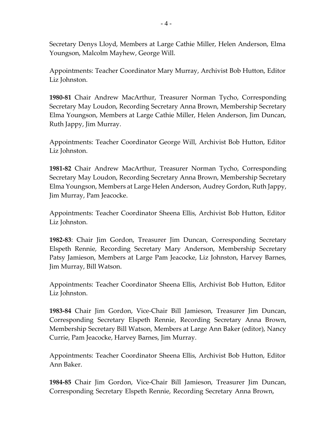Secretary Denys Lloyd, Members at Large Cathie Miller, Helen Anderson, Elma Youngson, Malcolm Mayhew, George Will.

Appointments: Teacher Coordinator Mary Murray, Archivist Bob Hutton, Editor Liz Johnston.

**1980-81** Chair Andrew MacArthur, Treasurer Norman Tycho, Corresponding Secretary May Loudon, Recording Secretary Anna Brown, Membership Secretary Elma Youngson, Members at Large Cathie Miller, Helen Anderson, Jim Duncan, Ruth Jappy, Jim Murray.

Appointments: Teacher Coordinator George Will, Archivist Bob Hutton, Editor Liz Johnston.

**1981-82** Chair Andrew MacArthur, Treasurer Norman Tycho, Corresponding Secretary May Loudon, Recording Secretary Anna Brown, Membership Secretary Elma Youngson, Members at Large Helen Anderson, Audrey Gordon, Ruth Jappy, Jim Murray, Pam Jeacocke.

Appointments: Teacher Coordinator Sheena Ellis, Archivist Bob Hutton, Editor Liz Johnston.

**1982-83**: Chair Jim Gordon, Treasurer Jim Duncan, Corresponding Secretary Elspeth Rennie, Recording Secretary Mary Anderson, Membership Secretary Patsy Jamieson, Members at Large Pam Jeacocke, Liz Johnston, Harvey Barnes, Jim Murray, Bill Watson.

Appointments: Teacher Coordinator Sheena Ellis, Archivist Bob Hutton, Editor Liz Johnston.

**1983-84** Chair Jim Gordon, Vice-Chair Bill Jamieson, Treasurer Jim Duncan, Corresponding Secretary Elspeth Rennie, Recording Secretary Anna Brown, Membership Secretary Bill Watson, Members at Large Ann Baker (editor), Nancy Currie, Pam Jeacocke, Harvey Barnes, Jim Murray.

Appointments: Teacher Coordinator Sheena Ellis, Archivist Bob Hutton, Editor Ann Baker.

**1984-85** Chair Jim Gordon, Vice-Chair Bill Jamieson, Treasurer Jim Duncan, Corresponding Secretary Elspeth Rennie, Recording Secretary Anna Brown,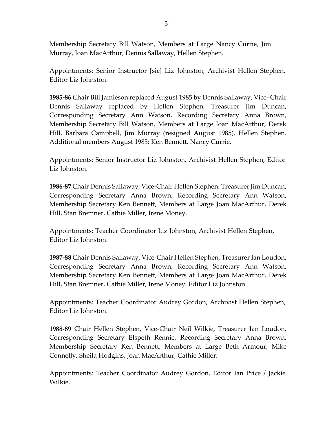Membership Secretary Bill Watson, Members at Large Nancy Currie, Jim Murray, Joan MacArthur, Dennis Sallaway, Hellen Stephen.

Appointments: Senior Instructor [sic] Liz Johnston, Archivist Hellen Stephen, Editor Liz Johnston.

**1985-86** Chair Bill Jamieson replaced August 1985 by Dennis Sallaway, Vice- Chair Dennis Sallaway replaced by Hellen Stephen, Treasurer Jim Duncan, Corresponding Secretary Ann Watson, Recording Secretary Anna Brown, Membership Secretary Bill Watson, Members at Large Joan MacArthur, Derek Hill, Barbara Campbell, Jim Murray (resigned August 1985), Hellen Stephen. Additional members August 1985: Ken Bennett, Nancy Currie.

Appointments: Senior Instructor Liz Johnston, Archivist Hellen Stephen, Editor Liz Johnston.

**1986-87** Chair Dennis Sallaway, Vice-Chair Hellen Stephen, Treasurer Jim Duncan, Corresponding Secretary Anna Brown, Recording Secretary Ann Watson, Membership Secretary Ken Bennett, Members at Large Joan MacArthur, Derek Hill, Stan Bremner, Cathie Miller, Irene Money.

Appointments: Teacher Coordinator Liz Johnston, Archivist Hellen Stephen, Editor Liz Johnston.

**1987-88** Chair Dennis Sallaway, Vice-Chair Hellen Stephen, Treasurer Ian Loudon, Corresponding Secretary Anna Brown, Recording Secretary Ann Watson, Membership Secretary Ken Bennett, Members at Large Joan MacArthur, Derek Hill, Stan Bremner, Cathie Miller, Irene Money. Editor Liz Johnston.

Appointments: Teacher Coordinator Audrey Gordon, Archivist Hellen Stephen, Editor Liz Johnston.

**1988-89** Chair Hellen Stephen, Vice-Chair Neil Wilkie, Treasurer Ian Loudon, Corresponding Secretary Elspeth Rennie, Recording Secretary Anna Brown, Membership Secretary Ken Bennett, Members at Large Beth Armour, Mike Connelly, Sheila Hodgins, Joan MacArthur, Cathie Miller.

Appointments: Teacher Coordinator Audrey Gordon, Editor Ian Price / Jackie Wilkie.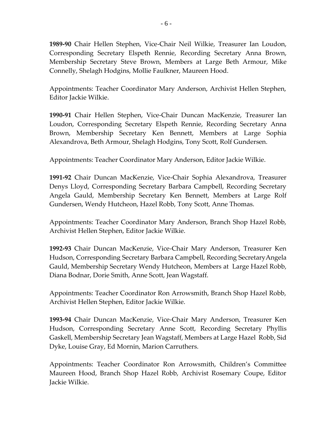**1989-90** Chair Hellen Stephen, Vice-Chair Neil Wilkie, Treasurer Ian Loudon, Corresponding Secretary Elspeth Rennie, Recording Secretary Anna Brown, Membership Secretary Steve Brown, Members at Large Beth Armour, Mike Connelly, Shelagh Hodgins, Mollie Faulkner, Maureen Hood.

Appointments: Teacher Coordinator Mary Anderson, Archivist Hellen Stephen, Editor Jackie Wilkie.

**1990-91** Chair Hellen Stephen, Vice-Chair Duncan MacKenzie, Treasurer Ian Loudon, Corresponding Secretary Elspeth Rennie, Recording Secretary Anna Brown, Membership Secretary Ken Bennett, Members at Large Sophia Alexandrova, Beth Armour, Shelagh Hodgins, Tony Scott, Rolf Gundersen.

Appointments: Teacher Coordinator Mary Anderson, Editor Jackie Wilkie.

**1991-92** Chair Duncan MacKenzie, Vice-Chair Sophia Alexandrova, Treasurer Denys Lloyd, Corresponding Secretary Barbara Campbell, Recording Secretary Angela Gauld, Membership Secretary Ken Bennett, Members at Large Rolf Gundersen, Wendy Hutcheon, Hazel Robb, Tony Scott, Anne Thomas.

Appointments: Teacher Coordinator Mary Anderson, Branch Shop Hazel Robb, Archivist Hellen Stephen, Editor Jackie Wilkie.

**1992-93** Chair Duncan MacKenzie, Vice-Chair Mary Anderson, Treasurer Ken Hudson, Corresponding Secretary Barbara Campbell, Recording SecretaryAngela Gauld, Membership Secretary Wendy Hutcheon, Members at Large Hazel Robb, Diana Bodnar, Dorie Smith, Anne Scott, Jean Wagstaff.

Appointments: Teacher Coordinator Ron Arrowsmith, Branch Shop Hazel Robb, Archivist Hellen Stephen, Editor Jackie Wilkie.

**1993-94** Chair Duncan MacKenzie, Vice-Chair Mary Anderson, Treasurer Ken Hudson, Corresponding Secretary Anne Scott, Recording Secretary Phyllis Gaskell, Membership Secretary Jean Wagstaff, Members at Large Hazel Robb, Sid Dyke, Louise Gray, Ed Mornin, Marion Carruthers.

Appointments: Teacher Coordinator Ron Arrowsmith, Children's Committee Maureen Hood, Branch Shop Hazel Robb, Archivist Rosemary Coupe, Editor Jackie Wilkie.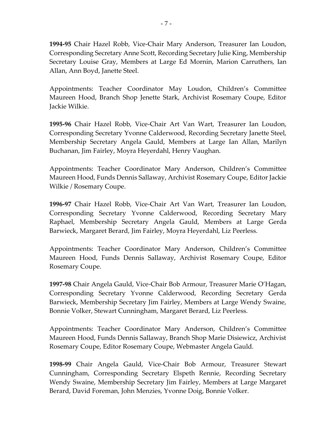**1994-95** Chair Hazel Robb, Vice-Chair Mary Anderson, Treasurer Ian Loudon, Corresponding Secretary Anne Scott, Recording Secretary Julie King, Membership Secretary Louise Gray, Members at Large Ed Mornin, Marion Carruthers, Ian Allan, Ann Boyd, Janette Steel.

Appointments: Teacher Coordinator May Loudon, Children's Committee Maureen Hood, Branch Shop Jenette Stark, Archivist Rosemary Coupe, Editor Jackie Wilkie.

**1995-96** Chair Hazel Robb, Vice-Chair Art Van Wart, Treasurer Ian Loudon, Corresponding Secretary Yvonne Calderwood, Recording Secretary Janette Steel, Membership Secretary Angela Gauld, Members at Large Ian Allan, Marilyn Buchanan, Jim Fairley, Moyra Heyerdahl, Henry Vaughan.

Appointments: Teacher Coordinator Mary Anderson, Children's Committee Maureen Hood, Funds Dennis Sallaway, Archivist Rosemary Coupe, Editor Jackie Wilkie / Rosemary Coupe.

**1996-97** Chair Hazel Robb, Vice-Chair Art Van Wart, Treasurer Ian Loudon, Corresponding Secretary Yvonne Calderwood, Recording Secretary Mary Raphael, Membership Secretary Angela Gauld, Members at Large Gerda Barwieck, Margaret Berard, Jim Fairley, Moyra Heyerdahl, Liz Peerless.

Appointments: Teacher Coordinator Mary Anderson, Children's Committee Maureen Hood, Funds Dennis Sallaway, Archivist Rosemary Coupe, Editor Rosemary Coupe.

**1997-98** Chair Angela Gauld, Vice-Chair Bob Armour, Treasurer Marie O'Hagan, Corresponding Secretary Yvonne Calderwood, Recording Secretary Gerda Barwieck, Membership Secretary Jim Fairley, Members at Large Wendy Swaine, Bonnie Volker, Stewart Cunningham, Margaret Berard, Liz Peerless.

Appointments: Teacher Coordinator Mary Anderson, Children's Committee Maureen Hood, Funds Dennis Sallaway, Branch Shop Marie Disiewicz, Archivist Rosemary Coupe, Editor Rosemary Coupe, Webmaster Angela Gauld.

**1998-99** Chair Angela Gauld, Vice-Chair Bob Armour, Treasurer Stewart Cunningham, Corresponding Secretary Elspeth Rennie, Recording Secretary Wendy Swaine, Membership Secretary Jim Fairley, Members at Large Margaret Berard, David Foreman, John Menzies, Yvonne Doig, Bonnie Volker.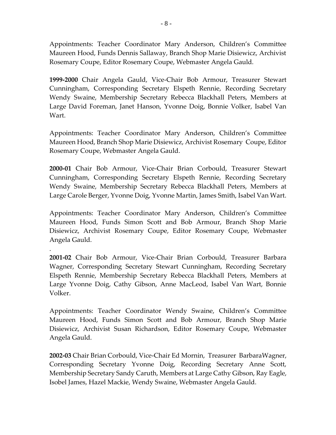Appointments: Teacher Coordinator Mary Anderson, Children's Committee Maureen Hood, Funds Dennis Sallaway, Branch Shop Marie Disiewicz, Archivist Rosemary Coupe, Editor Rosemary Coupe, Webmaster Angela Gauld.

**1999-2000** Chair Angela Gauld, Vice-Chair Bob Armour, Treasurer Stewart Cunningham, Corresponding Secretary Elspeth Rennie, Recording Secretary Wendy Swaine, Membership Secretary Rebecca Blackhall Peters, Members at Large David Foreman, Janet Hanson, Yvonne Doig, Bonnie Volker, Isabel Van Wart.

Appointments: Teacher Coordinator Mary Anderson, Children's Committee Maureen Hood, Branch Shop Marie Disiewicz, Archivist Rosemary Coupe, Editor Rosemary Coupe, Webmaster Angela Gauld.

**2000-01** Chair Bob Armour, Vice-Chair Brian Corbould, Treasurer Stewart Cunningham, Corresponding Secretary Elspeth Rennie, Recording Secretary Wendy Swaine, Membership Secretary Rebecca Blackhall Peters, Members at Large Carole Berger, Yvonne Doig, Yvonne Martin, James Smith, Isabel Van Wart.

Appointments: Teacher Coordinator Mary Anderson, Children's Committee Maureen Hood, Funds Simon Scott and Bob Armour, Branch Shop Marie Disiewicz, Archivist Rosemary Coupe, Editor Rosemary Coupe, Webmaster Angela Gauld.

.

**2001-02** Chair Bob Armour, Vice-Chair Brian Corbould, Treasurer Barbara Wagner, Corresponding Secretary Stewart Cunningham, Recording Secretary Elspeth Rennie, Membership Secretary Rebecca Blackhall Peters, Members at Large Yvonne Doig, Cathy Gibson, Anne MacLeod, Isabel Van Wart, Bonnie Volker.

Appointments: Teacher Coordinator Wendy Swaine, Children's Committee Maureen Hood, Funds Simon Scott and Bob Armour, Branch Shop Marie Disiewicz, Archivist Susan Richardson, Editor Rosemary Coupe, Webmaster Angela Gauld.

**2002-03** Chair Brian Corbould, Vice-Chair Ed Mornin, Treasurer BarbaraWagner, Corresponding Secretary Yvonne Doig, Recording Secretary Anne Scott, Membership Secretary Sandy Caruth, Members at Large Cathy Gibson, Ray Eagle, Isobel James, Hazel Mackie, Wendy Swaine, Webmaster Angela Gauld.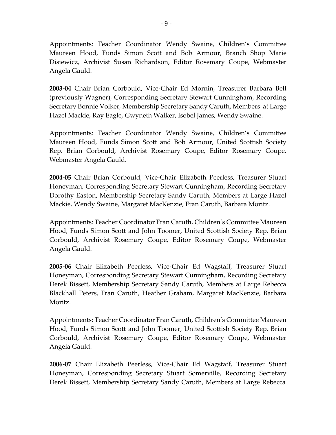Appointments: Teacher Coordinator Wendy Swaine, Children's Committee Maureen Hood, Funds Simon Scott and Bob Armour, Branch Shop Marie Disiewicz, Archivist Susan Richardson, Editor Rosemary Coupe, Webmaster Angela Gauld.

**2003-04** Chair Brian Corbould, Vice-Chair Ed Mornin, Treasurer Barbara Bell (previously Wagner), Corresponding Secretary Stewart Cunningham, Recording Secretary Bonnie Volker, Membership Secretary Sandy Caruth, Members at Large Hazel Mackie, Ray Eagle, Gwyneth Walker, Isobel James, Wendy Swaine.

Appointments: Teacher Coordinator Wendy Swaine, Children's Committee Maureen Hood, Funds Simon Scott and Bob Armour, United Scottish Society Rep. Brian Corbould, Archivist Rosemary Coupe, Editor Rosemary Coupe, Webmaster Angela Gauld.

**2004-05** Chair Brian Corbould, Vice-Chair Elizabeth Peerless, Treasurer Stuart Honeyman, Corresponding Secretary Stewart Cunningham, Recording Secretary Dorothy Easton, Membership Secretary Sandy Caruth, Members at Large Hazel Mackie, Wendy Swaine, Margaret MacKenzie, Fran Caruth, Barbara Moritz.

Appointments: Teacher Coordinator Fran Caruth, Children's Committee Maureen Hood, Funds Simon Scott and John Toomer, United Scottish Society Rep. Brian Corbould, Archivist Rosemary Coupe, Editor Rosemary Coupe, Webmaster Angela Gauld.

**2005-06** Chair Elizabeth Peerless, Vice-Chair Ed Wagstaff, Treasurer Stuart Honeyman, Corresponding Secretary Stewart Cunningham, Recording Secretary Derek Bissett, Membership Secretary Sandy Caruth, Members at Large Rebecca Blackhall Peters, Fran Caruth, Heather Graham, Margaret MacKenzie, Barbara Moritz.

Appointments: Teacher Coordinator Fran Caruth, Children's Committee Maureen Hood, Funds Simon Scott and John Toomer, United Scottish Society Rep. Brian Corbould, Archivist Rosemary Coupe, Editor Rosemary Coupe, Webmaster Angela Gauld.

**2006-07** Chair Elizabeth Peerless, Vice-Chair Ed Wagstaff, Treasurer Stuart Honeyman, Corresponding Secretary Stuart Somerville, Recording Secretary Derek Bissett, Membership Secretary Sandy Caruth, Members at Large Rebecca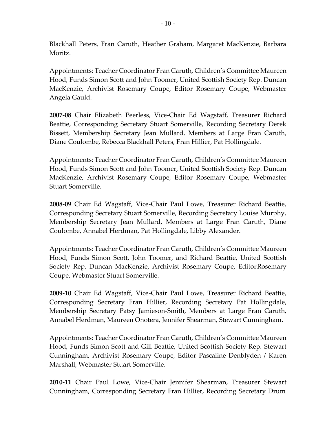Blackhall Peters, Fran Caruth, Heather Graham, Margaret MacKenzie, Barbara Moritz.

Appointments: Teacher Coordinator Fran Caruth, Children's Committee Maureen Hood, Funds Simon Scott and John Toomer, United Scottish Society Rep. Duncan MacKenzie, Archivist Rosemary Coupe, Editor Rosemary Coupe, Webmaster Angela Gauld.

**2007-08** Chair Elizabeth Peerless, Vice-Chair Ed Wagstaff, Treasurer Richard Beattie, Corresponding Secretary Stuart Somerville, Recording Secretary Derek Bissett, Membership Secretary Jean Mullard, Members at Large Fran Caruth, Diane Coulombe, Rebecca Blackhall Peters, Fran Hillier, Pat Hollingdale.

Appointments: Teacher Coordinator Fran Caruth, Children's Committee Maureen Hood, Funds Simon Scott and John Toomer, United Scottish Society Rep. Duncan MacKenzie, Archivist Rosemary Coupe, Editor Rosemary Coupe, Webmaster Stuart Somerville.

**2008-09** Chair Ed Wagstaff, Vice-Chair Paul Lowe, Treasurer Richard Beattie, Corresponding Secretary Stuart Somerville, Recording Secretary Louise Murphy, Membership Secretary Jean Mullard, Members at Large Fran Caruth, Diane Coulombe, Annabel Herdman, Pat Hollingdale, Libby Alexander.

Appointments: Teacher Coordinator Fran Caruth, Children's Committee Maureen Hood, Funds Simon Scott, John Toomer, and Richard Beattie, United Scottish Society Rep. Duncan MacKenzie, Archivist Rosemary Coupe, EditorRosemary Coupe, Webmaster Stuart Somerville.

**2009-10** Chair Ed Wagstaff, Vice-Chair Paul Lowe, Treasurer Richard Beattie, Corresponding Secretary Fran Hillier, Recording Secretary Pat Hollingdale, Membership Secretary Patsy Jamieson-Smith, Members at Large Fran Caruth, Annabel Herdman, Maureen Onotera, Jennifer Shearman, Stewart Cunningham.

Appointments: Teacher Coordinator Fran Caruth, Children's Committee Maureen Hood, Funds Simon Scott and Gill Beattie, United Scottish Society Rep. Stewart Cunningham, Archivist Rosemary Coupe, Editor Pascaline Denblyden / Karen Marshall, Webmaster Stuart Somerville.

**2010-11** Chair Paul Lowe, Vice-Chair Jennifer Shearman, Treasurer Stewart Cunningham, Corresponding Secretary Fran Hillier, Recording Secretary Drum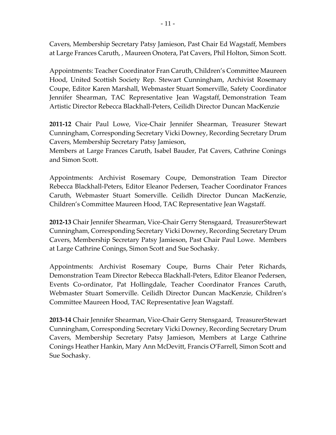Cavers, Membership Secretary Patsy Jamieson, Past Chair Ed Wagstaff, Members at Large Frances Caruth, , Maureen Onotera, Pat Cavers, Phil Holton, Simon Scott.

Appointments: Teacher Coordinator Fran Caruth, Children's Committee Maureen Hood, United Scottish Society Rep. Stewart Cunningham, Archivist Rosemary Coupe, Editor Karen Marshall, Webmaster Stuart Somerville, Safety Coordinator Jennifer Shearman, TAC Representative Jean Wagstaff, Demonstration Team Artistic Director Rebecca Blackhall-Peters, Ceilidh Director Duncan MacKenzie

**2011-12** Chair Paul Lowe, Vice-Chair Jennifer Shearman, Treasurer Stewart Cunningham, Corresponding Secretary Vicki Downey, Recording Secretary Drum Cavers, Membership Secretary Patsy Jamieson,

Members at Large Frances Caruth, Isabel Bauder, Pat Cavers, Cathrine Conings and Simon Scott.

Appointments: Archivist Rosemary Coupe, Demonstration Team Director Rebecca Blackhall-Peters, Editor Eleanor Pedersen, Teacher Coordinator Frances Caruth, Webmaster Stuart Somerville. Ceilidh Director Duncan MacKenzie, Children's Committee Maureen Hood, TAC Representative Jean Wagstaff.

**2012-13** Chair Jennifer Shearman, Vice-Chair Gerry Stensgaard, TreasurerStewart Cunningham, Corresponding Secretary Vicki Downey, Recording Secretary Drum Cavers, Membership Secretary Patsy Jamieson, Past Chair Paul Lowe. Members at Large Cathrine Conings, Simon Scott and Sue Sochasky.

Appointments: Archivist Rosemary Coupe, Burns Chair Peter Richards, Demonstration Team Director Rebecca Blackhall-Peters, Editor Eleanor Pedersen, Events Co-ordinator, Pat Hollingdale, Teacher Coordinator Frances Caruth, Webmaster Stuart Somerville. Ceilidh Director Duncan MacKenzie, Children's Committee Maureen Hood, TAC Representative Jean Wagstaff.

**2013-14** Chair Jennifer Shearman, Vice-Chair Gerry Stensgaard, TreasurerStewart Cunningham, Corresponding Secretary Vicki Downey, Recording Secretary Drum Cavers, Membership Secretary Patsy Jamieson, Members at Large Cathrine Conings Heather Hankin, Mary Ann McDevitt, Francis O'Farrell, Simon Scott and Sue Sochasky.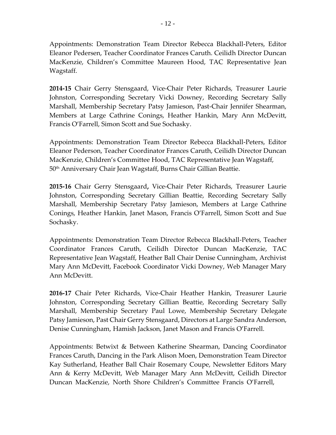Appointments: Demonstration Team Director Rebecca Blackhall-Peters, Editor Eleanor Pedersen, Teacher Coordinator Frances Caruth. Ceilidh Director Duncan MacKenzie, Children's Committee Maureen Hood, TAC Representative Jean Wagstaff.

**2014-15** Chair Gerry Stensgaard, Vice-Chair Peter Richards, Treasurer Laurie Johnston, Corresponding Secretary Vicki Downey, Recording Secretary Sally Marshall, Membership Secretary Patsy Jamieson, Past-Chair Jennifer Shearman, Members at Large Cathrine Conings, Heather Hankin, Mary Ann McDevitt, Francis O'Farrell, Simon Scott and Sue Sochasky.

Appointments: Demonstration Team Director Rebecca Blackhall-Peters, Editor Eleanor Pederson, Teacher Coordinator Frances Caruth, Ceilidh Director Duncan MacKenzie, Children's Committee Hood, TAC Representative Jean Wagstaff, 50<sup>th</sup> Anniversary Chair Jean Wagstaff, Burns Chair Gillian Beattie.

**2015-16** Chair Gerry Stensgaard**,** Vice-Chair Peter Richards, Treasurer Laurie Johnston, Corresponding Secretary Gillian Beattie, Recording Secretary Sally Marshall, Membership Secretary Patsy Jamieson, Members at Large Cathrine Conings, Heather Hankin, Janet Mason, Francis O'Farrell, Simon Scott and Sue Sochasky.

Appointments: Demonstration Team Director Rebecca Blackhall-Peters, Teacher Coordinator Frances Caruth, Ceilidh Director Duncan MacKenzie, TAC Representative Jean Wagstaff, Heather Ball Chair Denise Cunningham, Archivist Mary Ann McDevitt, Facebook Coordinator Vicki Downey, Web Manager Mary Ann McDevitt.

**2016-17** Chair Peter Richards, Vice-Chair Heather Hankin, Treasurer Laurie Johnston, Corresponding Secretary Gillian Beattie, Recording Secretary Sally Marshall, Membership Secretary Paul Lowe, Membership Secretary Delegate Patsy Jamieson, Past Chair Gerry Stensgaard, Directors at Large Sandra Anderson, Denise Cunningham, Hamish Jackson, Janet Mason and Francis O'Farrell.

Appointments: Betwixt & Between Katherine Shearman, Dancing Coordinator Frances Caruth, Dancing in the Park Alison Moen, Demonstration Team Director Kay Sutherland, Heather Ball Chair Rosemary Coupe, Newsletter Editors Mary Ann & Kerry McDevitt, Web Manager Mary Ann McDevitt, Ceilidh Director Duncan MacKenzie, North Shore Children's Committee Francis O'Farrell,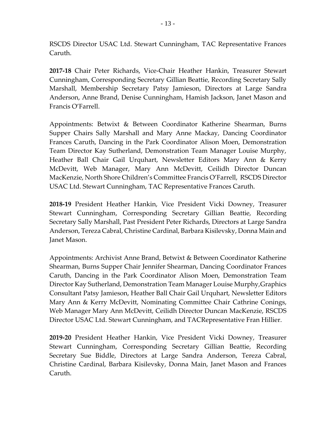RSCDS Director USAC Ltd. Stewart Cunningham, TAC Representative Frances Caruth.

**2017-18** Chair Peter Richards, Vice-Chair Heather Hankin, Treasurer Stewart Cunningham, Corresponding Secretary Gillian Beattie, Recording Secretary Sally Marshall, Membership Secretary Patsy Jamieson, Directors at Large Sandra Anderson, Anne Brand, Denise Cunningham, Hamish Jackson, Janet Mason and Francis O'Farrell.

Appointments: Betwixt & Between Coordinator Katherine Shearman, Burns Supper Chairs Sally Marshall and Mary Anne Mackay, Dancing Coordinator Frances Caruth, Dancing in the Park Coordinator Alison Moen, Demonstration Team Director Kay Sutherland, Demonstration Team Manager Louise Murphy, Heather Ball Chair Gail Urquhart, Newsletter Editors Mary Ann & Kerry McDevitt, Web Manager, Mary Ann McDevitt, Ceilidh Director Duncan MacKenzie, North Shore Children's Committee Francis O'Farrell, RSCDS Director USAC Ltd. Stewart Cunningham, TAC Representative Frances Caruth.

**2018-19** President Heather Hankin, Vice President Vicki Downey, Treasurer Stewart Cunningham, Corresponding Secretary Gillian Beattie, Recording Secretary Sally Marshall, Past President Peter Richards, Directors at Large Sandra Anderson, Tereza Cabral, Christine Cardinal, Barbara Kisilevsky, Donna Main and Janet Mason.

Appointments: Archivist Anne Brand, Betwixt & Between Coordinator Katherine Shearman, Burns Supper Chair Jennifer Shearman, Dancing Coordinator Frances Caruth, Dancing in the Park Coordinator Alison Moen, Demonstration Team Director Kay Sutherland, Demonstration Team Manager Louise Murphy,Graphics Consultant Patsy Jamieson, Heather Ball Chair Gail Urquhart, Newsletter Editors Mary Ann & Kerry McDevitt, Nominating Committee Chair Cathrine Conings, Web Manager Mary Ann McDevitt, Ceilidh Director Duncan MacKenzie, RSCDS Director USAC Ltd. Stewart Cunningham, and TACRepresentative Fran Hillier.

**2019-20** President Heather Hankin, Vice President Vicki Downey, Treasurer Stewart Cunningham, Corresponding Secretary Gillian Beattie, Recording Secretary Sue Biddle, Directors at Large Sandra Anderson, Tereza Cabral, Christine Cardinal, Barbara Kisilevsky, Donna Main, Janet Mason and Frances Caruth.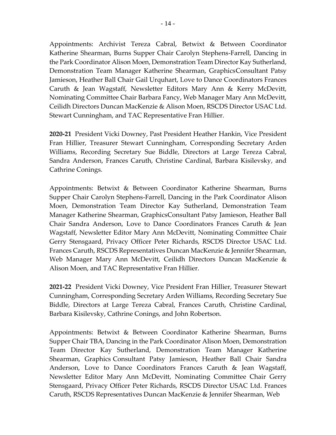Appointments: Archivist Tereza Cabral, Betwixt & Between Coordinator Katherine Shearman, Burns Supper Chair Carolyn Stephens-Farrell, Dancing in the Park Coordinator Alison Moen, Demonstration Team Director Kay Sutherland, Demonstration Team Manager Katherine Shearman, GraphicsConsultant Patsy Jamieson, Heather Ball Chair Gail Urquhart, Love to Dance Coordinators Frances Caruth & Jean Wagstaff, Newsletter Editors Mary Ann & Kerry McDevitt, Nominating Committee Chair Barbara Fancy, Web Manager Mary Ann McDevitt, Ceilidh Directors Duncan MacKenzie & Alison Moen, RSCDS Director USAC Ltd. Stewart Cunningham, and TAC Representative Fran Hillier.

**2020-21** President Vicki Downey, Past President Heather Hankin, Vice President Fran Hillier, Treasurer Stewart Cunningham, Corresponding Secretary Arden Williams, Recording Secretary Sue Biddle, Directors at Large Tereza Cabral, Sandra Anderson, Frances Caruth, Christine Cardinal, Barbara Kisilevsky, and Cathrine Conings.

Appointments: Betwixt & Between Coordinator Katherine Shearman, Burns Supper Chair Carolyn Stephens-Farrell, Dancing in the Park Coordinator Alison Moen, Demonstration Team Director Kay Sutherland, Demonstration Team Manager Katherine Shearman, GraphicsConsultant Patsy Jamieson, Heather Ball Chair Sandra Anderson, Love to Dance Coordinators Frances Caruth & Jean Wagstaff, Newsletter Editor Mary Ann McDevitt, Nominating Committee Chair Gerry Stensgaard, Privacy Officer Peter Richards, RSCDS Director USAC Ltd. Frances Caruth, RSCDS Representatives Duncan MacKenzie & Jennifer Shearman, Web Manager Mary Ann McDevitt, Ceilidh Directors Duncan MacKenzie & Alison Moen, and TAC Representative Fran Hillier.

**2021-22** President Vicki Downey, Vice President Fran Hillier, Treasurer Stewart Cunningham, Corresponding Secretary Arden Williams, Recording Secretary Sue Biddle, Directors at Large Tereza Cabral, Frances Caruth, Christine Cardinal, Barbara Kisilevsky, Cathrine Conings, and John Robertson.

Appointments: Betwixt & Between Coordinator Katherine Shearman, Burns Supper Chair TBA, Dancing in the Park Coordinator Alison Moen, Demonstration Team Director Kay Sutherland, Demonstration Team Manager Katherine Shearman, Graphics Consultant Patsy Jamieson, Heather Ball Chair Sandra Anderson, Love to Dance Coordinators Frances Caruth & Jean Wagstaff, Newsletter Editor Mary Ann McDevitt, Nominating Committee Chair Gerry Stensgaard, Privacy Officer Peter Richards, RSCDS Director USAC Ltd. Frances Caruth, RSCDS Representatives Duncan MacKenzie & Jennifer Shearman, Web